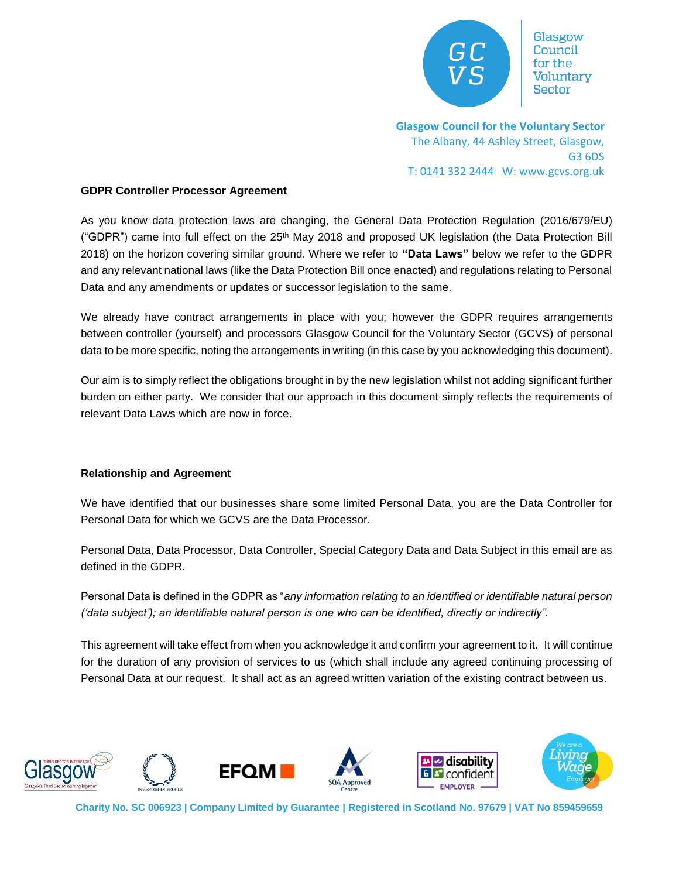

Glasgow for the Voluntarv Sector

**Glasgow Council for the Voluntary Sector**  The Albany, 44 Ashley Street, Glasgow, G3 6DS T: 0141 332 2444 W: www.gcvs.org.uk

#### **GDPR Controller Processor Agreement**

As you know data protection laws are changing, the General Data Protection Regulation (2016/679/EU) ("GDPR") came into full effect on the 25<sup>th</sup> May 2018 and proposed UK legislation (the Data Protection Bill 2018) on the horizon covering similar ground. Where we refer to **"Data Laws"** below we refer to the GDPR and any relevant national laws (like the Data Protection Bill once enacted) and regulations relating to Personal Data and any amendments or updates or successor legislation to the same.

We already have contract arrangements in place with you; however the GDPR requires arrangements between controller (yourself) and processors Glasgow Council for the Voluntary Sector (GCVS) of personal data to be more specific, noting the arrangements in writing (in this case by you acknowledging this document).

Our aim is to simply reflect the obligations brought in by the new legislation whilst not adding significant further burden on either party. We consider that our approach in this document simply reflects the requirements of relevant Data Laws which are now in force.

## **Relationship and Agreement**

We have identified that our businesses share some limited Personal Data, you are the Data Controller for Personal Data for which we GCVS are the Data Processor.

Personal Data, Data Processor, Data Controller, Special Category Data and Data Subject in this email are as defined in the GDPR.

Personal Data is defined in the GDPR as "*any information relating to an identified or identifiable natural person ('data subject'); an identifiable natural person is one who can be identified, directly or indirectly".* 

This agreement will take effect from when you acknowledge it and confirm your agreement to it. It will continue for the duration of any provision of services to us (which shall include any agreed continuing processing of Personal Data at our request. It shall act as an agreed written variation of the existing contract between us.













**Charity No. SC 006923 | Company Limited by Guarantee | Registered in Scotland No. 97679 | VAT No 859459659**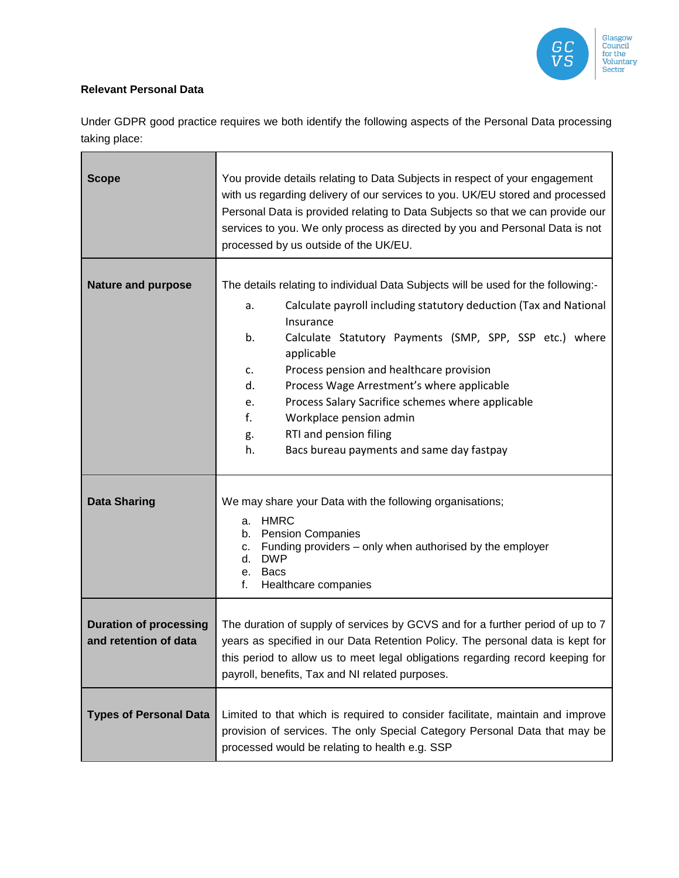

## **Relevant Personal Data**

Under GDPR good practice requires we both identify the following aspects of the Personal Data processing taking place:

| <b>Scope</b>                                           | You provide details relating to Data Subjects in respect of your engagement<br>with us regarding delivery of our services to you. UK/EU stored and processed<br>Personal Data is provided relating to Data Subjects so that we can provide our<br>services to you. We only process as directed by you and Personal Data is not<br>processed by us outside of the UK/EU. |
|--------------------------------------------------------|-------------------------------------------------------------------------------------------------------------------------------------------------------------------------------------------------------------------------------------------------------------------------------------------------------------------------------------------------------------------------|
| <b>Nature and purpose</b>                              | The details relating to individual Data Subjects will be used for the following:-                                                                                                                                                                                                                                                                                       |
|                                                        | Calculate payroll including statutory deduction (Tax and National<br>a.<br>Insurance<br>b.<br>Calculate Statutory Payments (SMP, SPP, SSP etc.) where                                                                                                                                                                                                                   |
|                                                        | applicable                                                                                                                                                                                                                                                                                                                                                              |
|                                                        | Process pension and healthcare provision<br>$\mathsf{C}$ .                                                                                                                                                                                                                                                                                                              |
|                                                        | Process Wage Arrestment's where applicable<br>d.<br>Process Salary Sacrifice schemes where applicable                                                                                                                                                                                                                                                                   |
|                                                        | e.<br>f.<br>Workplace pension admin                                                                                                                                                                                                                                                                                                                                     |
|                                                        | RTI and pension filing<br>g.                                                                                                                                                                                                                                                                                                                                            |
|                                                        | h.<br>Bacs bureau payments and same day fastpay                                                                                                                                                                                                                                                                                                                         |
| <b>Data Sharing</b>                                    | We may share your Data with the following organisations;<br><b>HMRC</b><br>a.<br><b>Pension Companies</b><br>b.<br>Funding providers – only when authorised by the employer<br>c.<br><b>DWP</b><br>d.<br><b>Bacs</b><br>е.<br>Healthcare companies<br>f.                                                                                                                |
| <b>Duration of processing</b><br>and retention of data | The duration of supply of services by GCVS and for a further period of up to 7<br>years as specified in our Data Retention Policy. The personal data is kept for<br>this period to allow us to meet legal obligations regarding record keeping for<br>payroll, benefits, Tax and NI related purposes.                                                                   |
| <b>Types of Personal Data</b>                          | Limited to that which is required to consider facilitate, maintain and improve<br>provision of services. The only Special Category Personal Data that may be<br>processed would be relating to health e.g. SSP                                                                                                                                                          |